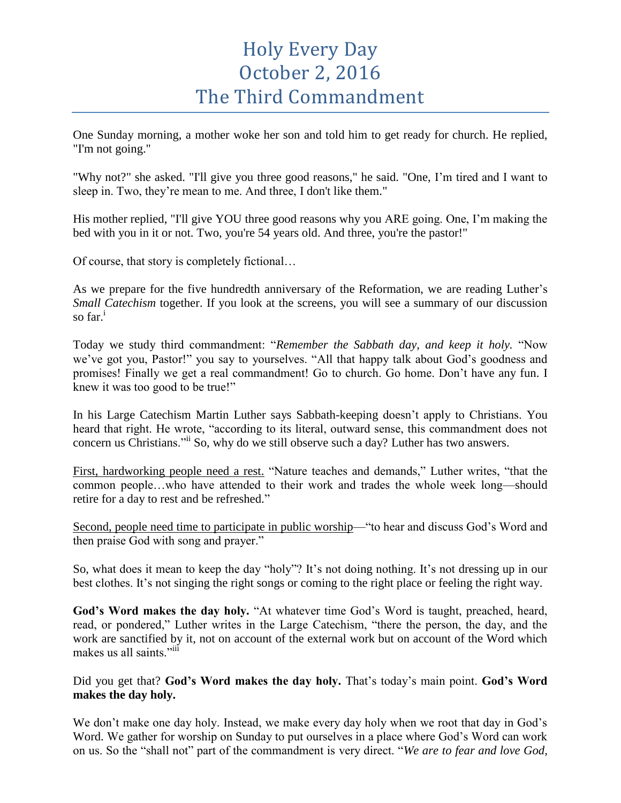## Holy Every Day October 2, 2016 The Third Commandment

One Sunday morning, a mother woke her son and told him to get ready for church. He replied, "I'm not going."

"Why not?" she asked. "I'll give you three good reasons," he said. "One, I'm tired and I want to sleep in. Two, they're mean to me. And three, I don't like them."

His mother replied, "I'll give YOU three good reasons why you ARE going. One, I'm making the bed with you in it or not. Two, you're 54 years old. And three, you're the pastor!"

Of course, that story is completely fictional…

As we prepare for the five hundredth anniversary of the Reformation, we are reading Luther's *Small Catechism* together. If you look at the screens, you will see a summary of our discussion so  $far<sup>1</sup>$ 

Today we study third commandment: "*Remember the Sabbath day, and keep it holy.* "Now we've got you, Pastor!" you say to yourselves. "All that happy talk about God's goodness and promises! Finally we get a real commandment! Go to church. Go home. Don't have any fun. I knew it was too good to be true!"

In his Large Catechism Martin Luther says Sabbath-keeping doesn't apply to Christians. You heard that right. He wrote, "according to its literal, outward sense, this commandment does not concern us Christians."ii So, why do we still observe such a day? Luther has two answers.

First, hardworking people need a rest. "Nature teaches and demands," Luther writes, "that the common people…who have attended to their work and trades the whole week long—should retire for a day to rest and be refreshed."

Second, people need time to participate in public worship—"to hear and discuss God's Word and then praise God with song and prayer."

So, what does it mean to keep the day "holy"? It's not doing nothing. It's not dressing up in our best clothes. It's not singing the right songs or coming to the right place or feeling the right way.

**God's Word makes the day holy.** "At whatever time God's Word is taught, preached, heard, read, or pondered," Luther writes in the Large Catechism, "there the person, the day, and the work are sanctified by it, not on account of the external work but on account of the Word which makes us all saints."<sup>iii</sup>

Did you get that? **God's Word makes the day holy.** That's today's main point. **God's Word makes the day holy.**

We don't make one day holy. Instead, we make every day holy when we root that day in God's Word. We gather for worship on Sunday to put ourselves in a place where God's Word can work on us. So the "shall not" part of the commandment is very direct. "*We are to fear and love God,*